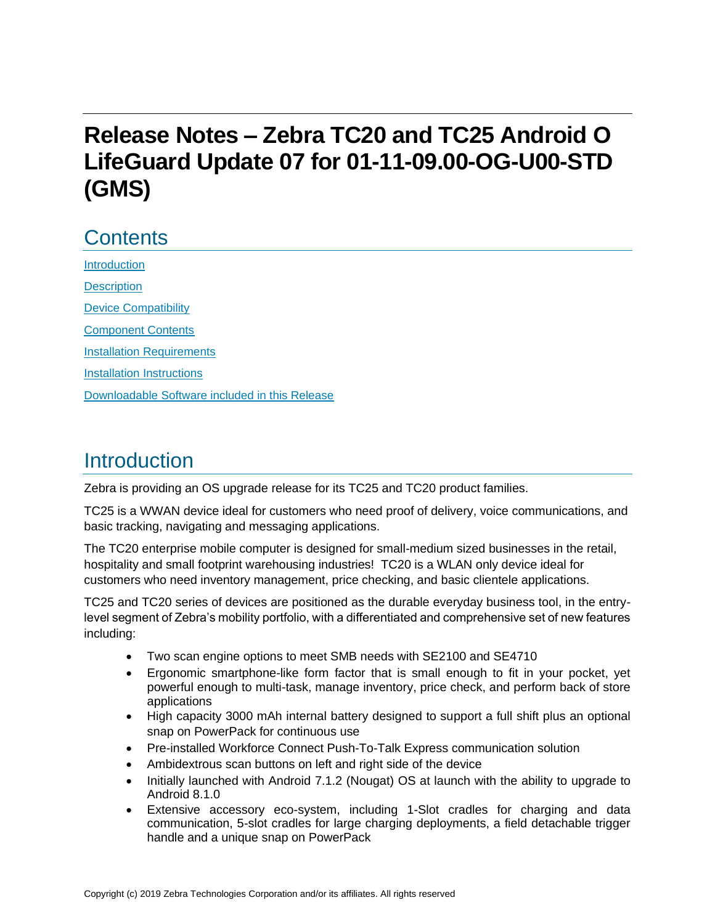# **Release Notes – Zebra TC20 and TC25 Android O LifeGuard Update 07 for 01-11-09.00-OG-U00-STD (GMS)**

# **Contents**

**[Introduction](#page-0-0) [Description](#page-0-0)** [Device Compatibility](#page-3-0) [Component Contents](#page-4-0) [Installation Requirements](#page-6-0) [Installation Instructions](#page-6-1) [Downloadable Software included in this Release](#page-8-0) 

## <span id="page-0-0"></span>Introduction

Zebra is providing an OS upgrade release for its TC25 and TC20 product families.

TC25 is a WWAN device ideal for customers who need proof of delivery, voice communications, and basic tracking, navigating and messaging applications.

The TC20 enterprise mobile computer is designed for small-medium sized businesses in the retail, hospitality and small footprint warehousing industries! TC20 is a WLAN only device ideal for customers who need inventory management, price checking, and basic clientele applications.

TC25 and TC20 series of devices are positioned as the durable everyday business tool, in the entrylevel segment of Zebra's mobility portfolio, with a differentiated and comprehensive set of new features including:

- Two scan engine options to meet SMB needs with SE2100 and SE4710
- Ergonomic smartphone-like form factor that is small enough to fit in your pocket, yet powerful enough to multi-task, manage inventory, price check, and perform back of store applications
- High capacity 3000 mAh internal battery designed to support a full shift plus an optional snap on PowerPack for continuous use
- Pre-installed Workforce Connect Push-To-Talk Express communication solution
- Ambidextrous scan buttons on left and right side of the device
- Initially launched with Android 7.1.2 (Nougat) OS at launch with the ability to upgrade to Android 8.1.0
- Extensive accessory eco-system, including 1-Slot cradles for charging and data communication, 5-slot cradles for large charging deployments, a field detachable trigger handle and a unique snap on PowerPack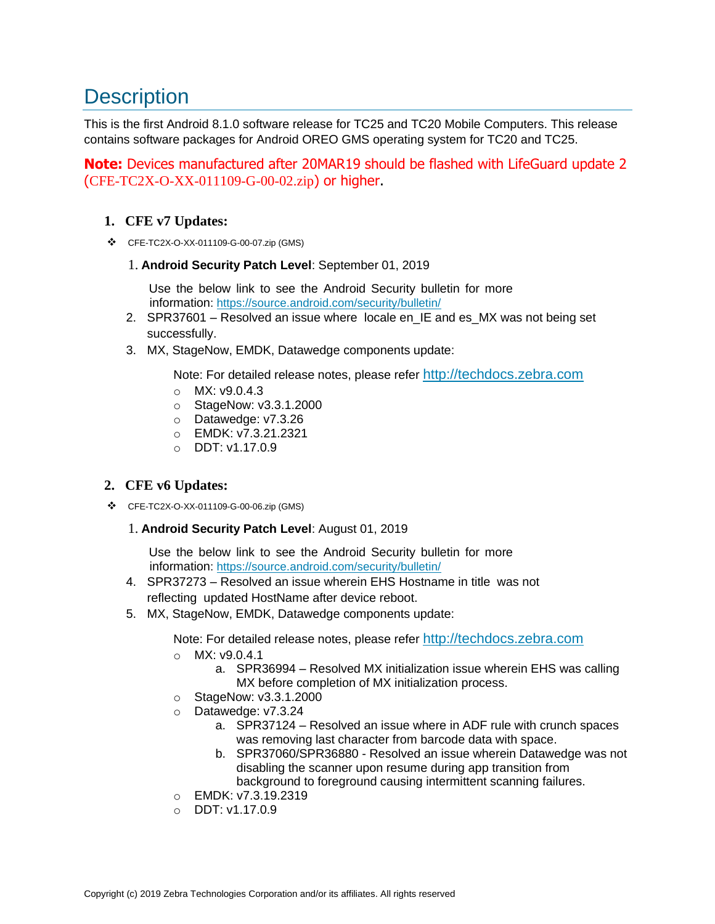# **Description**

This is the first Android 8.1.0 software release for TC25 and TC20 Mobile Computers. This release contains software packages for Android OREO GMS operating system for TC20 and TC25.

**Note:** Devices manufactured after 20MAR19 should be flashed with LifeGuard update 2 (CFE-TC2X-O-XX-011109-G-00-02.zip) or higher.

### **1. CFE v7 Updates:**

❖ CFE-TC2X-O-XX-011109-G-00-07.zip (GMS)

#### 1. **Android Security Patch Level**: September 01, 2019

Use the below link to see the Android Security bulletin for more information:<https://source.android.com/security/bulletin/>

- 2. SPR37601 Resolved an issue where locale en\_IE and es\_MX was not being set successfully.
- 3. MX, StageNow, EMDK, Datawedge components update:

Note: For detailed release notes, please refer [http://techdocs.zebra.com](http://techdocs.zebra.com/)

- o MX: v9.0.4.3
- o StageNow: v3.3.1.2000
- o Datawedge: v7.3.26
- o EMDK: v7.3.21.2321
- $O$  DDT: v1.17.0.9

### **2. CFE v6 Updates:**

❖ CFE-TC2X-O-XX-011109-G-00-06.zip (GMS)

#### 1. **Android Security Patch Level**: August 01, 2019

Use the below link to see the Android Security bulletin for more information:<https://source.android.com/security/bulletin/>

- 4. SPR37273 Resolved an issue wherein EHS Hostname in title was not reflecting updated HostName after device reboot.
- 5. MX, StageNow, EMDK, Datawedge components update:

Note: For detailed release notes, please refer [http://techdocs.zebra.com](http://techdocs.zebra.com/)

- o MX: v9.0.4.1
	- a. SPR36994 Resolved MX initialization issue wherein EHS was calling MX before completion of MX initialization process.
- o StageNow: v3.3.1.2000
- o Datawedge: v7.3.24
	- a. SPR37124 Resolved an issue where in ADF rule with crunch spaces was removing last character from barcode data with space.
	- b. SPR37060/SPR36880 Resolved an issue wherein Datawedge was not disabling the scanner upon resume during app transition from background to foreground causing intermittent scanning failures.
- o EMDK: v7.3.19.2319
- o DDT: v1.17.0.9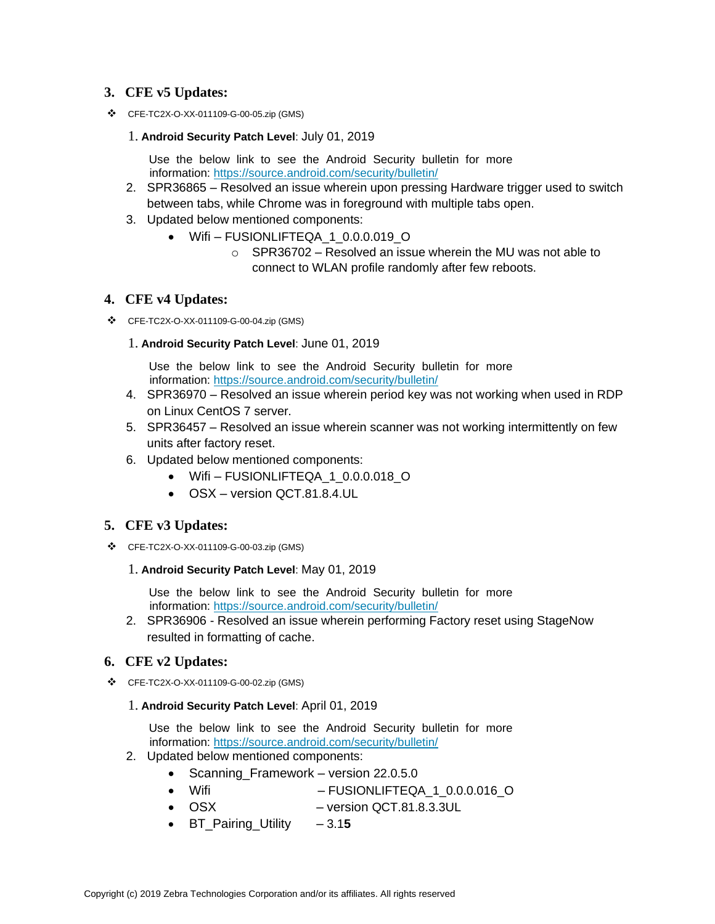#### **3. CFE v5 Updates:**

❖ CFE-TC2X-O-XX-011109-G-00-05.zip (GMS)

#### 1. **Android Security Patch Level**: July 01, 2019

Use the below link to see the Android Security bulletin for more information:<https://source.android.com/security/bulletin/>

- 2. SPR36865 Resolved an issue wherein upon pressing Hardware trigger used to switch between tabs, while Chrome was in foreground with multiple tabs open.
- 3. Updated below mentioned components:
	- Wifi FUSIONLIFTEQA\_1\_0.0.0.019\_O
		- $\circ$  SPR36702 Resolved an issue wherein the MU was not able to connect to WLAN profile randomly after few reboots.

#### **4. CFE v4 Updates:**

- ❖ CFE-TC2X-O-XX-011109-G-00-04.zip (GMS)
	- 1. **Android Security Patch Level**: June 01, 2019

Use the below link to see the Android Security bulletin for more information:<https://source.android.com/security/bulletin/>

- 4. SPR36970 Resolved an issue wherein period key was not working when used in RDP on Linux CentOS 7 server.
- 5. SPR36457 Resolved an issue wherein scanner was not working intermittently on few units after factory reset.
- 6. Updated below mentioned components:
	- Wifi FUSIONLIFTEQA\_1\_0.0.0.018\_O
	- OSX version QCT.81.8.4.UL

#### **5. CFE v3 Updates:**

❖ CFE-TC2X-O-XX-011109-G-00-03.zip (GMS)

#### 1. **Android Security Patch Level**: May 01, 2019

Use the below link to see the Android Security bulletin for more information:<https://source.android.com/security/bulletin/>

2. SPR36906 - Resolved an issue wherein performing Factory reset using StageNow resulted in formatting of cache.

#### **6. CFE v2 Updates:**

❖ CFE-TC2X-O-XX-011109-G-00-02.zip (GMS)

#### 1. **Android Security Patch Level**: April 01, 2019

Use the below link to see the Android Security bulletin for more information:<https://source.android.com/security/bulletin/>

- 2. Updated below mentioned components:
	- Scanning Framework version 22.0.5.0
	- Wifi FUSIONLIFTEQA 1 0.0.0.016 O
	- OSX version QCT.81.8.3.3UL
	- BT\_Pairing\_Utility 3.1**5**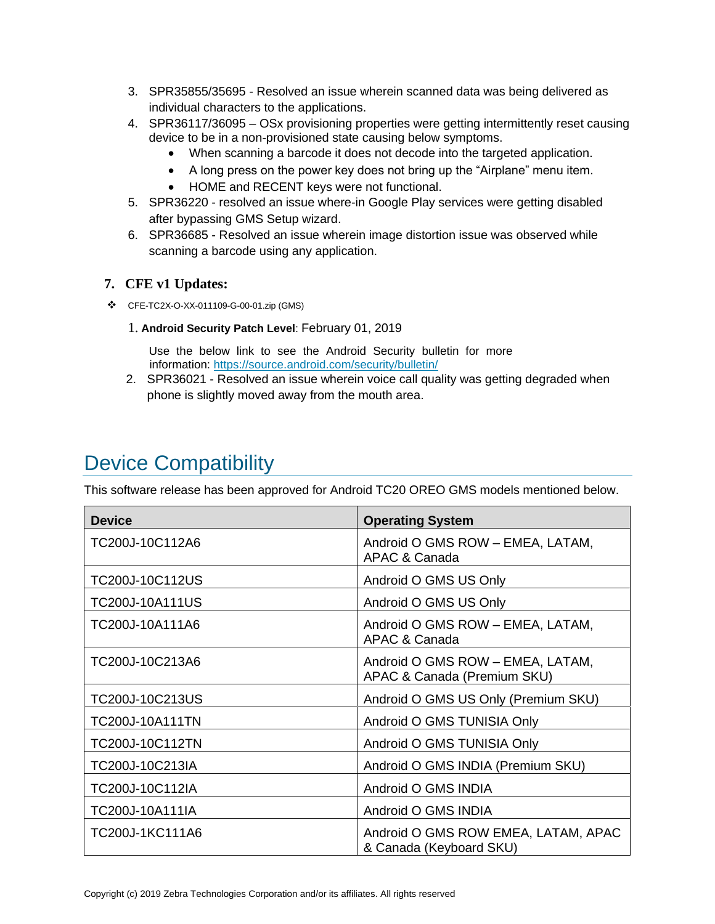- 3. SPR35855/35695 Resolved an issue wherein scanned data was being delivered as individual characters to the applications.
- 4. SPR36117/36095 OSx provisioning properties were getting intermittently reset causing device to be in a non-provisioned state causing below symptoms.
	- When scanning a barcode it does not decode into [the](https://confluence.zebra.com/pages/createpage.action?spaceKey=LIF&title=customer+apps+or+DWDEMO) targeted application.
	- A long press on the power key does not bring up the "Airplane" menu item.
	- HOME and RECENT keys were not functional.
- 5. SPR36220 resolved an issue where-in Google Play services were getting disabled after bypassing GMS Setup wizard.
- 6. SPR36685 Resolved an issue wherein image distortion issue was observed while scanning a barcode using any application.

### **7. CFE v1 Updates:**

- ❖ CFE-TC2X-O-XX-011109-G-00-01.zip (GMS)
	- 1. **Android Security Patch Level**: February 01, 2019

Use the below link to see the Android Security bulletin for more information:<https://source.android.com/security/bulletin/>

2. SPR36021 - Resolved an issue wherein voice call quality was getting degraded when phone is slightly moved away from the mouth area.

## <span id="page-3-0"></span>Device Compatibility

This software release has been approved for Android TC20 OREO GMS models mentioned below.

| <b>Device</b>          | <b>Operating System</b>                                         |
|------------------------|-----------------------------------------------------------------|
| TC200J-10C112A6        | Android O GMS ROW - EMEA, LATAM,<br>APAC & Canada               |
| TC200J-10C112US        | Android O GMS US Only                                           |
| TC200J-10A111US        | Android O GMS US Only                                           |
| TC200J-10A111A6        | Android O GMS ROW - EMEA, LATAM,<br>APAC & Canada               |
| TC200J-10C213A6        | Android O GMS ROW - EMEA, LATAM,<br>APAC & Canada (Premium SKU) |
| TC200J-10C213US        | Android O GMS US Only (Premium SKU)                             |
| <b>TC200J-10A111TN</b> | Android O GMS TUNISIA Only                                      |
| TC200J-10C112TN        | Android O GMS TUNISIA Only                                      |
| TC200J-10C213IA        | Android O GMS INDIA (Premium SKU)                               |
| TC200J-10C112IA        | Android O GMS INDIA                                             |
| TC200J-10A111IA        | Android O GMS INDIA                                             |
| TC200J-1KC111A6        | Android O GMS ROW EMEA, LATAM, APAC<br>& Canada (Keyboard SKU)  |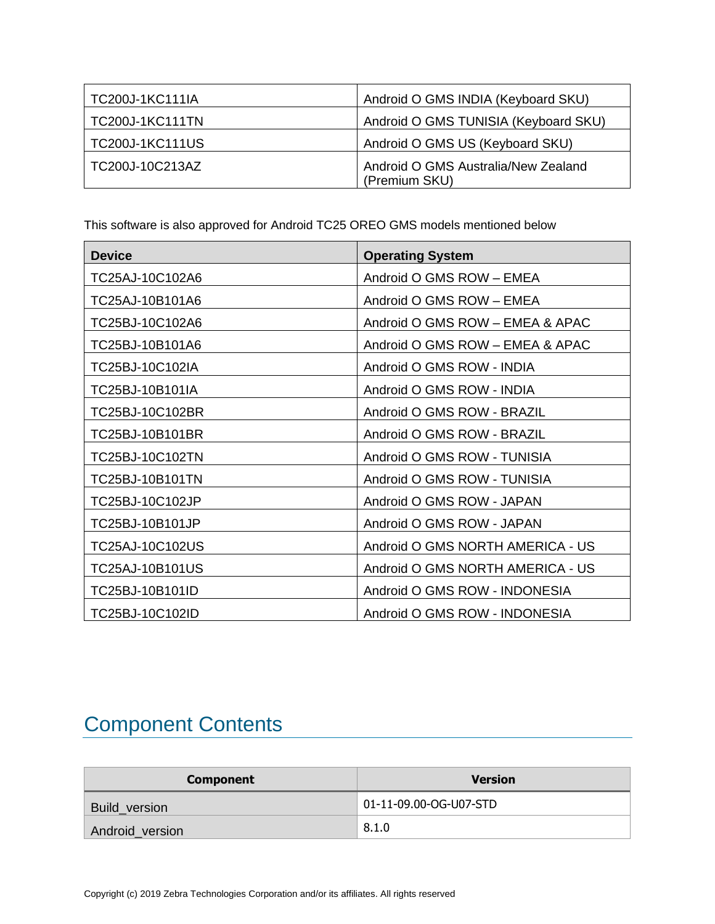| <b>TC200J-1KC111IA</b> | Android O GMS INDIA (Keyboard SKU)                   |
|------------------------|------------------------------------------------------|
| <b>TC200J-1KC111TN</b> | Android O GMS TUNISIA (Keyboard SKU)                 |
| <b>TC200J-1KC111US</b> | Android O GMS US (Keyboard SKU)                      |
| TC200J-10C213AZ        | Android O GMS Australia/New Zealand<br>(Premium SKU) |

This software is also approved for Android TC25 OREO GMS models mentioned below

| <b>Device</b>   | <b>Operating System</b>          |
|-----------------|----------------------------------|
| TC25AJ-10C102A6 | Android O GMS ROW - EMEA         |
| TC25AJ-10B101A6 | Android O GMS ROW - EMEA         |
| TC25BJ-10C102A6 | Android O GMS ROW - EMEA & APAC  |
| TC25BJ-10B101A6 | Android O GMS ROW - EMEA & APAC  |
| TC25BJ-10C102IA | Android O GMS ROW - INDIA        |
| TC25BJ-10B101IA | Android O GMS ROW - INDIA        |
| TC25BJ-10C102BR | Android O GMS ROW - BRAZIL       |
| TC25BJ-10B101BR | Android O GMS ROW - BRAZIL       |
| TC25BJ-10C102TN | Android O GMS ROW - TUNISIA      |
| TC25BJ-10B101TN | Android O GMS ROW - TUNISIA      |
| TC25BJ-10C102JP | Android O GMS ROW - JAPAN        |
| TC25BJ-10B101JP | Android O GMS ROW - JAPAN        |
| TC25AJ-10C102US | Android O GMS NORTH AMERICA - US |
| TC25AJ-10B101US | Android O GMS NORTH AMERICA - US |
| TC25BJ-10B101ID | Android O GMS ROW - INDONESIA    |
| TC25BJ-10C102ID | Android O GMS ROW - INDONESIA    |

# <span id="page-4-0"></span>Component Contents

| <b>Component</b>     | <b>Version</b>         |
|----------------------|------------------------|
| <b>Build version</b> | 01-11-09.00-OG-U07-STD |
| Android_version      | 8.1.0                  |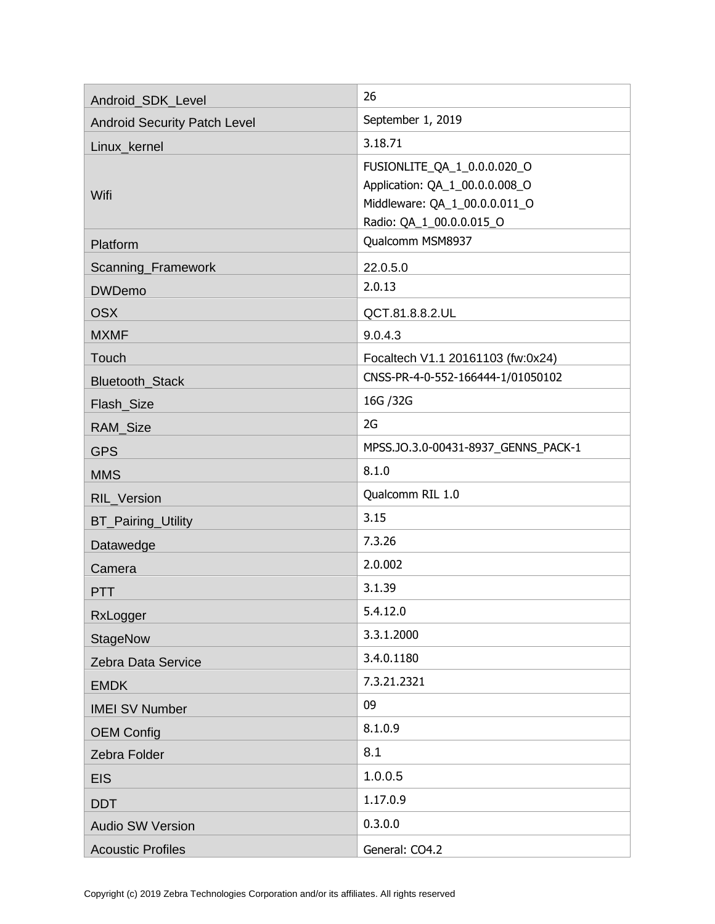| Android_SDK_Level                   | 26                                                                                                                         |
|-------------------------------------|----------------------------------------------------------------------------------------------------------------------------|
| <b>Android Security Patch Level</b> | September 1, 2019                                                                                                          |
| Linux kernel                        | 3.18.71                                                                                                                    |
| Wifi                                | FUSIONLITE_QA_1_0.0.0.020_O<br>Application: QA_1_00.0.0.008_O<br>Middleware: QA_1_00.0.0.011_O<br>Radio: QA_1_00.0.0.015_O |
| Platform                            | Qualcomm MSM8937                                                                                                           |
| Scanning_Framework                  | 22.0.5.0                                                                                                                   |
| <b>DWDemo</b>                       | 2.0.13                                                                                                                     |
| <b>OSX</b>                          | QCT.81.8.8.2.UL                                                                                                            |
| <b>MXMF</b>                         | 9.0.4.3                                                                                                                    |
| Touch                               | Focaltech V1.1 20161103 (fw:0x24)                                                                                          |
| Bluetooth_Stack                     | CNSS-PR-4-0-552-166444-1/01050102                                                                                          |
| Flash_Size                          | 16G / 32G                                                                                                                  |
| RAM_Size                            | 2G                                                                                                                         |
| <b>GPS</b>                          | MPSS.JO.3.0-00431-8937_GENNS_PACK-1                                                                                        |
| <b>MMS</b>                          | 8.1.0                                                                                                                      |
| RIL_Version                         | Qualcomm RIL 1.0                                                                                                           |
| <b>BT_Pairing_Utility</b>           | 3.15                                                                                                                       |
| Datawedge                           | 7.3.26                                                                                                                     |
| Camera                              | 2.0.002                                                                                                                    |
| <b>PTT</b>                          | 3.1.39                                                                                                                     |
| RxLogger                            | 5.4.12.0                                                                                                                   |
| <b>StageNow</b>                     | 3.3.1.2000                                                                                                                 |
| Zebra Data Service                  | 3.4.0.1180                                                                                                                 |
| <b>EMDK</b>                         | 7.3.21.2321                                                                                                                |
| <b>IMEI SV Number</b>               | 09                                                                                                                         |
| <b>OEM Config</b>                   | 8.1.0.9                                                                                                                    |
| Zebra Folder                        | 8.1                                                                                                                        |
| <b>EIS</b>                          | 1.0.0.5                                                                                                                    |
| <b>DDT</b>                          | 1.17.0.9                                                                                                                   |
| <b>Audio SW Version</b>             | 0.3.0.0                                                                                                                    |
| <b>Acoustic Profiles</b>            | General: CO4.2                                                                                                             |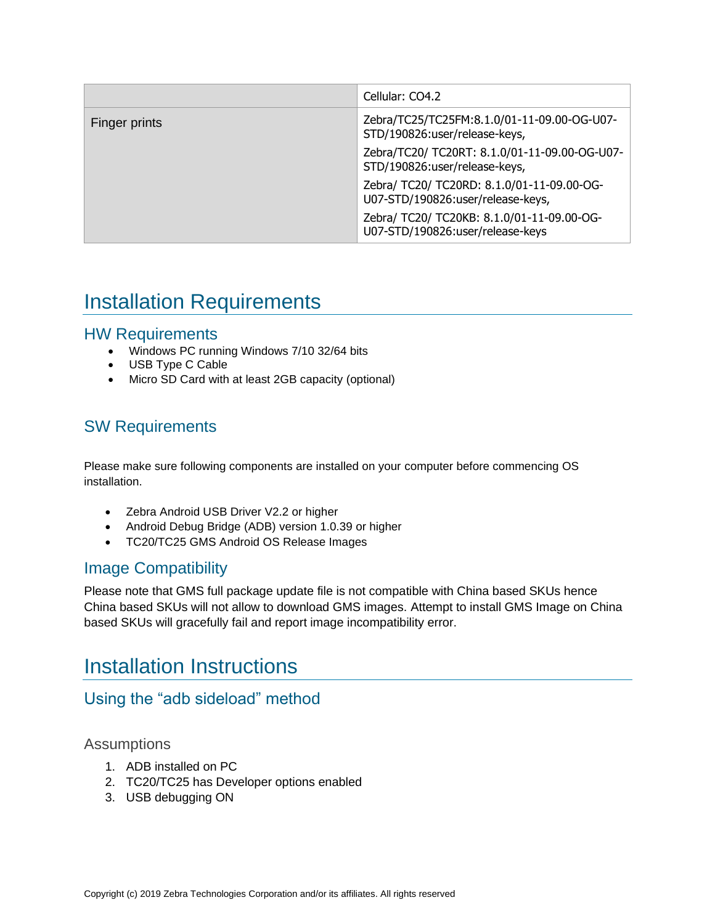|               | Cellular: CO4.2                                                                 |
|---------------|---------------------------------------------------------------------------------|
| Finger prints | Zebra/TC25/TC25FM:8.1.0/01-11-09.00-OG-U07-<br>STD/190826:user/release-keys,    |
|               | Zebra/TC20/ TC20RT: 8.1.0/01-11-09.00-OG-U07-<br>STD/190826:user/release-keys,  |
|               | Zebra/ TC20/ TC20RD: 8.1.0/01-11-09.00-OG-<br>U07-STD/190826:user/release-keys, |
|               | Zebra/ TC20/ TC20KB: 8.1.0/01-11-09.00-OG-<br>U07-STD/190826:user/release-keys  |

# <span id="page-6-0"></span>Installation Requirements

### HW Requirements

- Windows PC running Windows 7/10 32/64 bits
- USB Type C Cable
- Micro SD Card with at least 2GB capacity (optional)

### SW Requirements

Please make sure following components are installed on your computer before commencing OS installation.

- Zebra Android USB Driver V2.2 or higher
- Android Debug Bridge (ADB) version 1.0.39 or higher
- TC20/TC25 GMS Android OS Release Images

### Image Compatibility

Please note that GMS full package update file is not compatible with China based SKUs hence China based SKUs will not allow to download GMS images. Attempt to install GMS Image on China based SKUs will gracefully fail and report image incompatibility error.

## <span id="page-6-1"></span>Installation Instructions

### Using the "adb sideload" method

### Assumptions

- 1. ADB installed on PC
- 2. TC20/TC25 has Developer options enabled
- 3. USB debugging ON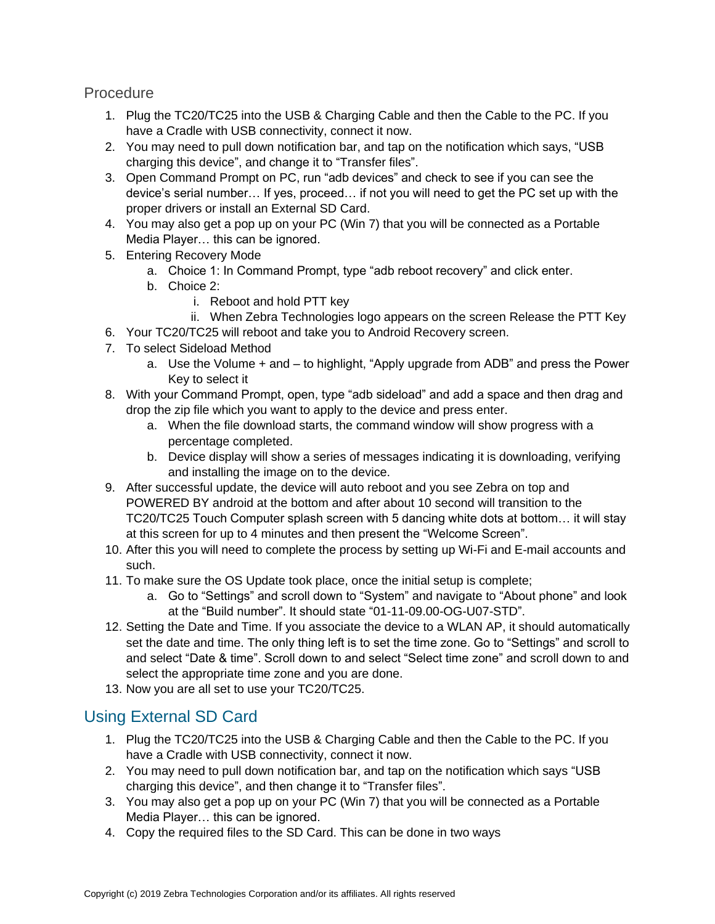**Procedure** 

- 1. Plug the TC20/TC25 into the USB & Charging Cable and then the Cable to the PC. If you have a Cradle with USB connectivity, connect it now.
- 2. You may need to pull down notification bar, and tap on the notification which says, "USB charging this device", and change it to "Transfer files".
- 3. Open Command Prompt on PC, run "adb devices" and check to see if you can see the device's serial number… If yes, proceed… if not you will need to get the PC set up with the proper drivers or install an External SD Card.
- 4. You may also get a pop up on your PC (Win 7) that you will be connected as a Portable Media Player… this can be ignored.
- 5. Entering Recovery Mode
	- a. Choice 1: In Command Prompt, type "adb reboot recovery" and click enter.
	- b. Choice 2:
		- i. Reboot and hold PTT key
		- ii. When Zebra Technologies logo appears on the screen Release the PTT Key
- 6. Your TC20/TC25 will reboot and take you to Android Recovery screen.
- 7. To select Sideload Method
	- a. Use the Volume + and to highlight, "Apply upgrade from ADB" and press the Power Key to select it
- 8. With your Command Prompt, open, type "adb sideload" and add a space and then drag and drop the zip file which you want to apply to the device and press enter.
	- a. When the file download starts, the command window will show progress with a percentage completed.
	- b. Device display will show a series of messages indicating it is downloading, verifying and installing the image on to the device.
- 9. After successful update, the device will auto reboot and you see Zebra on top and POWERED BY android at the bottom and after about 10 second will transition to the TC20/TC25 Touch Computer splash screen with 5 dancing white dots at bottom… it will stay at this screen for up to 4 minutes and then present the "Welcome Screen".
- 10. After this you will need to complete the process by setting up Wi-Fi and E-mail accounts and such.
- 11. To make sure the OS Update took place, once the initial setup is complete;
	- a. Go to "Settings" and scroll down to "System" and navigate to "About phone" and look at the "Build number". It should state "01-11-09.00-OG-U07-STD".
- 12. Setting the Date and Time. If you associate the device to a WLAN AP, it should automatically set the date and time. The only thing left is to set the time zone. Go to "Settings" and scroll to and select "Date & time". Scroll down to and select "Select time zone" and scroll down to and select the appropriate time zone and you are done.
- 13. Now you are all set to use your TC20/TC25.

### Using External SD Card

- 1. Plug the TC20/TC25 into the USB & Charging Cable and then the Cable to the PC. If you have a Cradle with USB connectivity, connect it now.
- 2. You may need to pull down notification bar, and tap on the notification which says "USB charging this device", and then change it to "Transfer files".
- 3. You may also get a pop up on your PC (Win 7) that you will be connected as a Portable Media Player… this can be ignored.
- 4. Copy the required files to the SD Card. This can be done in two ways